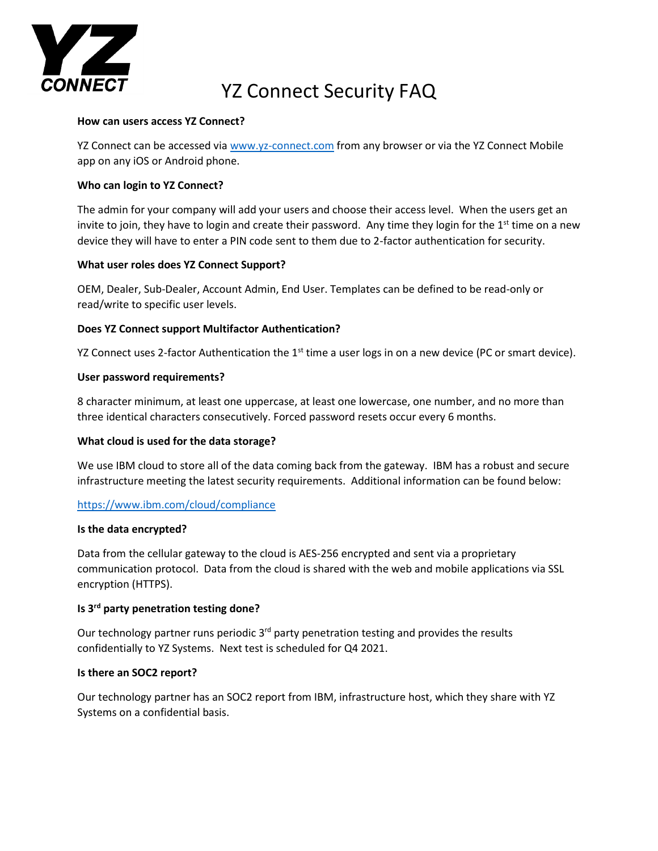

# YZ Connect Security FAQ

#### **How can users access YZ Connect?**

YZ Connect can be accessed via [www.yz-connect.com](http://www.yz-connect.com/) from any browser or via the YZ Connect Mobile app on any iOS or Android phone.

### **Who can login to YZ Connect?**

The admin for your company will add your users and choose their access level. When the users get an invite to join, they have to login and create their password. Any time they login for the  $1<sup>st</sup>$  time on a new device they will have to enter a PIN code sent to them due to 2-factor authentication for security.

### **What user roles does YZ Connect Support?**

OEM, Dealer, Sub-Dealer, Account Admin, End User. Templates can be defined to be read-only or read/write to specific user levels.

### **Does YZ Connect support Multifactor Authentication?**

YZ Connect uses 2-factor Authentication the  $1<sup>st</sup>$  time a user logs in on a new device (PC or smart device).

### **User password requirements?**

8 character minimum, at least one uppercase, at least one lowercase, one number, and no more than three identical characters consecutively. Forced password resets occur every 6 months.

### **What cloud is used for the data storage?**

We use IBM cloud to store all of the data coming back from the gateway. IBM has a robust and secure infrastructure meeting the latest security requirements. Additional information can be found below:

### <https://www.ibm.com/cloud/compliance>

### **Is the data encrypted?**

Data from the cellular gateway to the cloud is AES-256 encrypted and sent via a proprietary communication protocol. Data from the cloud is shared with the web and mobile applications via SSL encryption (HTTPS).

### **Is 3rd party penetration testing done?**

Our technology partner runs periodic 3<sup>rd</sup> party penetration testing and provides the results confidentially to YZ Systems. Next test is scheduled for Q4 2021.

### **Is there an SOC2 report?**

Our technology partner has an SOC2 report from IBM, infrastructure host, which they share with YZ Systems on a confidential basis.